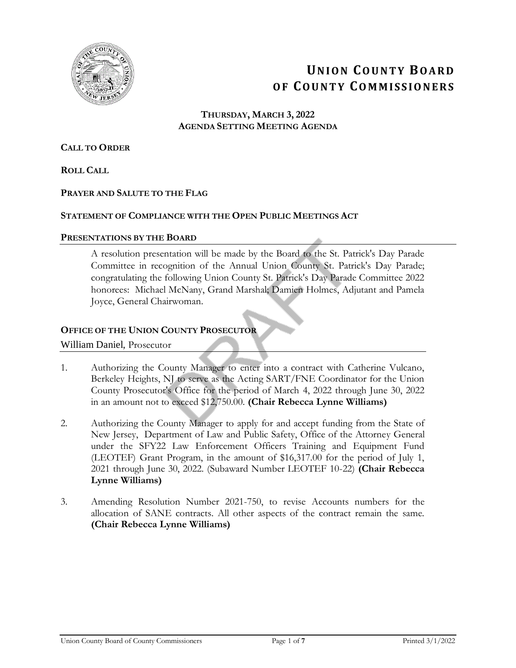

# **UN I O N CO U N T Y BO A R D O F CO U N T Y CO M M I S S I O N E R S**

**THURSDAY, MARCH 3, 2022 AGENDA SETTING MEETING AGENDA**

## **CALL TO ORDER**

**ROLL CALL**

## **PRAYER AND SALUTE TO THE FLAG**

### **STATEMENT OF COMPLIANCE WITH THE OPEN PUBLIC MEETINGS ACT**

### **PRESENTATIONS BY THE BOARD**

A resolution presentation will be made by the Board to the St. Patrick's Day Parade Committee in recognition of the Annual Union County St. Patrick's Day Parade; congratulating the following Union County St. Patrick's Day Parade Committee 2022 honorees: Michael McNany, Grand Marshal; Damien Holmes, Adjutant and Pamela Joyce, General Chairwoman.

## **OFFICE OF THE UNION COUNTY PROSECUTOR**

### William Daniel, Prosecutor

- 1. Authorizing the County Manager to enter into a contract with Catherine Vulcano, Berkeley Heights, NJ to serve as the Acting SART/FNE Coordinator for the Union County Prosecutor's Office for the period of March 4, 2022 through June 30, 2022 in an amount not to exceed \$12,750.00. **(Chair Rebecca Lynne Williams)**
- 2. Authorizing the County Manager to apply for and accept funding from the State of New Jersey, Department of Law and Public Safety, Office of the Attorney General under the SFY22 Law Enforcement Officers Training and Equipment Fund (LEOTEF) Grant Program, in the amount of \$16,317.00 for the period of July 1, 2021 through June 30, 2022. (Subaward Number LEOTEF 10-22) **(Chair Rebecca Lynne Williams)**
- 3. Amending Resolution Number 2021-750, to revise Accounts numbers for the allocation of SANE contracts. All other aspects of the contract remain the same. **(Chair Rebecca Lynne Williams)**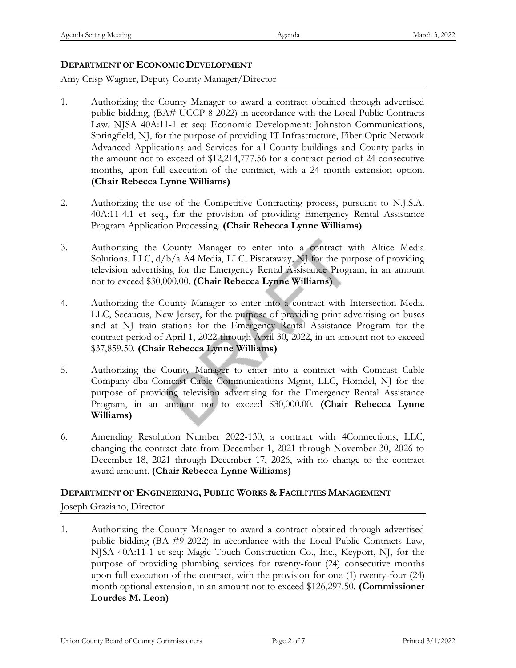## **DEPARTMENT OF ECONOMIC DEVELOPMENT**

## Amy Crisp Wagner, Deputy County Manager/Director

- 1. Authorizing the County Manager to award a contract obtained through advertised public bidding, (BA# UCCP 8-2022) in accordance with the Local Public Contracts Law, NJSA 40A:11-1 et seq: Economic Development: Johnston Communications, Springfield, NJ, for the purpose of providing IT Infrastructure, Fiber Optic Network Advanced Applications and Services for all County buildings and County parks in the amount not to exceed of \$12,214,777.56 for a contract period of 24 consecutive months, upon full execution of the contract, with a 24 month extension option. **(Chair Rebecca Lynne Williams)**
- 2. Authorizing the use of the Competitive Contracting process, pursuant to N.J.S.A. 40A:11-4.1 et seq., for the provision of providing Emergency Rental Assistance Program Application Processing. **(Chair Rebecca Lynne Williams)**
- 3. Authorizing the County Manager to enter into a contract with Altice Media Solutions, LLC, d/b/a A4 Media, LLC, Piscataway, NJ for the purpose of providing television advertising for the Emergency Rental Assistance Program, in an amount not to exceed \$30,000.00. **(Chair Rebecca Lynne Williams)**
- 4. Authorizing the County Manager to enter into a contract with Intersection Media LLC, Secaucus, New Jersey, for the purpose of providing print advertising on buses and at NJ train stations for the Emergency Rental Assistance Program for the contract period of April 1, 2022 through April 30, 2022, in an amount not to exceed \$37,859.50. **(Chair Rebecca Lynne Williams)**
- 5. Authorizing the County Manager to enter into a contract with Comcast Cable Company dba Comcast Cable Communications Mgmt, LLC, Homdel, NJ for the purpose of providing television advertising for the Emergency Rental Assistance Program, in an amount not to exceed \$30,000.00. **(Chair Rebecca Lynne Williams)**
- 6. Amending Resolution Number 2022-130, a contract with 4Connections, LLC, changing the contract date from December 1, 2021 through November 30, 2026 to December 18, 2021 through December 17, 2026, with no change to the contract award amount. **(Chair Rebecca Lynne Williams)**

# **DEPARTMENT OF ENGINEERING, PUBLIC WORKS & FACILITIES MANAGEMENT**

Joseph Graziano, Director

1. Authorizing the County Manager to award a contract obtained through advertised public bidding (BA #9-2022) in accordance with the Local Public Contracts Law, NJSA 40A:11-1 et seq: Magic Touch Construction Co., Inc., Keyport, NJ, for the purpose of providing plumbing services for twenty-four (24) consecutive months upon full execution of the contract, with the provision for one (1) twenty-four (24) month optional extension, in an amount not to exceed \$126,297.50. **(Commissioner Lourdes M. Leon)**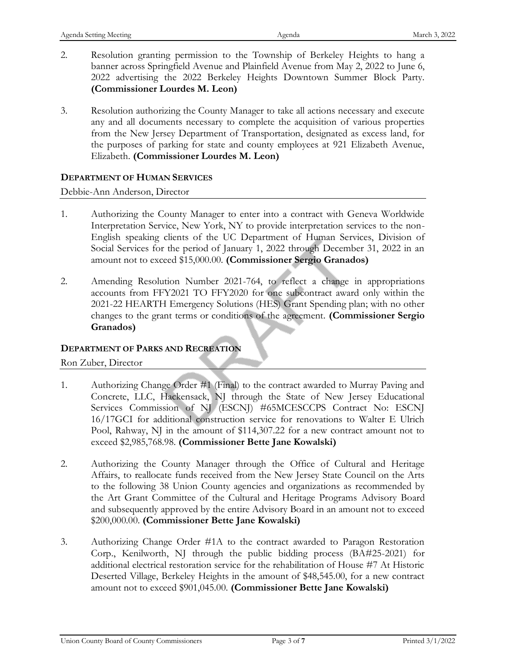| Agenda Setting Meeting |                                           | Agenda                                                                                                                                                                                                                                                                                                                                          | March 3, 2022 |
|------------------------|-------------------------------------------|-------------------------------------------------------------------------------------------------------------------------------------------------------------------------------------------------------------------------------------------------------------------------------------------------------------------------------------------------|---------------|
| 2.                     | (Commissioner Lourdes M. Leon)            | Resolution granting permission to the Township of Berkeley Heights to hang a<br>banner across Springfield Avenue and Plainfield Avenue from May 2, 2022 to June 6,<br>2022 advertising the 2022 Berkeley Heights Downtown Summer Block Party.                                                                                                   |               |
| 3.                     | Elizabeth. (Commissioner Lourdes M. Leon) | Resolution authorizing the County Manager to take all actions necessary and execute<br>any and all documents necessary to complete the acquisition of various properties<br>from the New Jersey Department of Transportation, designated as excess land, for<br>the purposes of parking for state and county employees at 921 Elizabeth Avenue, |               |

## **DEPARTMENT OF HUMAN SERVICES**

Debbie-Ann Anderson, Director

- 1. Authorizing the County Manager to enter into a contract with Geneva Worldwide Interpretation Service, New York, NY to provide interpretation services to the non-English speaking clients of the UC Department of Human Services, Division of Social Services for the period of January 1, 2022 through December 31, 2022 in an amount not to exceed \$15,000.00. **(Commissioner Sergio Granados)**
- 2. Amending Resolution Number 2021-764, to reflect a change in appropriations accounts from FFY2021 TO FFY2020 for one subcontract award only within the 2021-22 HEARTH Emergency Solutions (HES) Grant Spending plan; with no other changes to the grant terms or conditions of the agreement. **(Commissioner Sergio Granados)**

## **DEPARTMENT OF PARKS AND RECREATION**

Ron Zuber, Director

- 1. Authorizing Change Order #1 (Final) to the contract awarded to Murray Paving and Concrete, LLC, Hackensack, NJ through the State of New Jersey Educational Services Commission of NJ (ESCNJ) #65MCESCCPS Contract No: ESCNJ 16/17GCI for additional construction service for renovations to Walter E Ulrich Pool, Rahway, NJ in the amount of \$114,307.22 for a new contract amount not to exceed \$2,985,768.98. **(Commissioner Bette Jane Kowalski)**
- 2. Authorizing the County Manager through the Office of Cultural and Heritage Affairs, to reallocate funds received from the New Jersey State Council on the Arts to the following 38 Union County agencies and organizations as recommended by the Art Grant Committee of the Cultural and Heritage Programs Advisory Board and subsequently approved by the entire Advisory Board in an amount not to exceed \$200,000.00. **(Commissioner Bette Jane Kowalski)**
- 3. Authorizing Change Order #1A to the contract awarded to Paragon Restoration Corp., Kenilworth, NJ through the public bidding process (BA#25-2021) for additional electrical restoration service for the rehabilitation of House #7 At Historic Deserted Village, Berkeley Heights in the amount of \$48,545.00, for a new contract amount not to exceed \$901,045.00. **(Commissioner Bette Jane Kowalski)**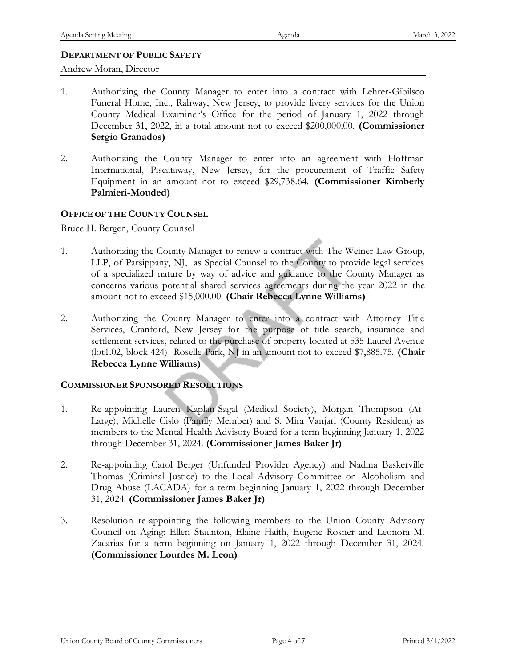### **DEPARTMENT OF PUBLIC SAFETY**

Andrew Moran, Director

- 1. Authorizing the County Manager to enter into a contract with Lehrer-Gibilsco Funeral Home, Inc., Rahway, New Jersey, to provide livery services for the Union County Medical Examiner's Office for the period of January 1, 2022 through December 31, 2022, in a total amount not to exceed \$200,000.00. **(Commissioner Sergio Granados)**
- 2. Authorizing the County Manager to enter into an agreement with Hoffman International, Piscataway, New Jersey, for the procurement of Traffic Safety Equipment in an amount not to exceed \$29,738.64. **(Commissioner Kimberly Palmieri-Mouded)**

### **OFFICE OF THE COUNTY COUNSEL**

Bruce H. Bergen, County Counsel

- 1. Authorizing the County Manager to renew a contract with The Weiner Law Group, LLP, of Parsippany, NJ, as Special Counsel to the County to provide legal services of a specialized nature by way of advice and guidance to the County Manager as concerns various potential shared services agreements during the year 2022 in the amount not to exceed \$15,000.00. **(Chair Rebecca Lynne Williams)**
- 2. Authorizing the County Manager to enter into a contract with Attorney Title Services, Cranford, New Jersey for the purpose of title search, insurance and settlement services, related to the purchase of property located at 535 Laurel Avenue (lot1.02, block 424) Roselle Park, NJ in an amount not to exceed \$7,885.75. **(Chair Rebecca Lynne Williams)**

### **COMMISSIONER SPONSORED RESOLUTIONS**

- 1. Re-appointing Lauren Kaplan-Sagal (Medical Society), Morgan Thompson (At-Large), Michelle Cislo (Family Member) and S. Mira Vanjari (County Resident) as members to the Mental Health Advisory Board for a term beginning January 1, 2022 through December 31, 2024. **(Commissioner James Baker Jr)**
- 2. Re-appointing Carol Berger (Unfunded Provider Agency) and Nadina Baskerville Thomas (Criminal Justice) to the Local Advisory Committee on Alcoholism and Drug Abuse (LACADA) for a term beginning January 1, 2022 through December 31, 2024. **(Commissioner James Baker Jr)**
- 3. Resolution re-appointing the following members to the Union County Advisory Council on Aging: Ellen Staunton, Elaine Haith, Eugene Rosner and Leonora M. Zacarias for a term beginning on January 1, 2022 through December 31, 2024. **(Commissioner Lourdes M. Leon)**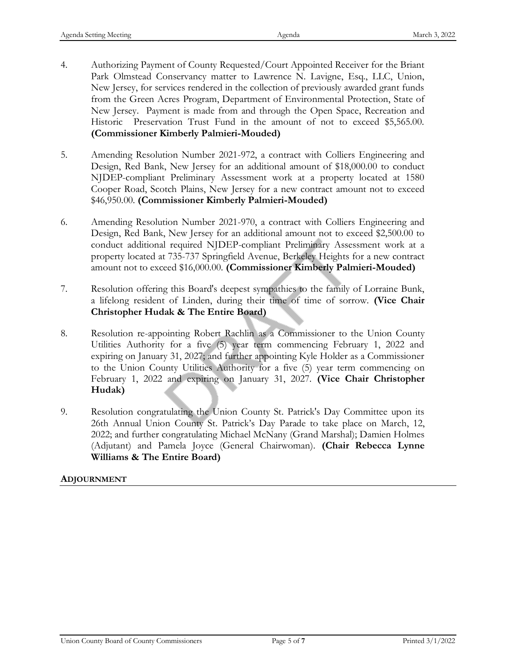- 4. Authorizing Payment of County Requested/Court Appointed Receiver for the Briant Park Olmstead Conservancy matter to Lawrence N. Lavigne, Esq., LLC, Union, New Jersey, for services rendered in the collection of previously awarded grant funds from the Green Acres Program, Department of Environmental Protection, State of New Jersey. Payment is made from and through the Open Space, Recreation and Historic Preservation Trust Fund in the amount of not to exceed \$5,565.00. **(Commissioner Kimberly Palmieri-Mouded)**
- 5. Amending Resolution Number 2021-972, a contract with Colliers Engineering and Design, Red Bank, New Jersey for an additional amount of \$18,000.00 to conduct NJDEP-compliant Preliminary Assessment work at a property located at 1580 Cooper Road, Scotch Plains, New Jersey for a new contract amount not to exceed \$46,950.00. **(Commissioner Kimberly Palmieri-Mouded)**
- 6. Amending Resolution Number 2021-970, a contract with Colliers Engineering and Design, Red Bank, New Jersey for an additional amount not to exceed \$2,500.00 to conduct additional required NJDEP-compliant Preliminary Assessment work at a property located at 735-737 Springfield Avenue, Berkeley Heights for a new contract amount not to exceed \$16,000.00. **(Commissioner Kimberly Palmieri-Mouded)**
- 7. Resolution offering this Board's deepest sympathies to the family of Lorraine Bunk, a lifelong resident of Linden, during their time of time of sorrow. **(Vice Chair Christopher Hudak & The Entire Board)**
- 8. Resolution re-appointing Robert Rachlin as a Commissioner to the Union County Utilities Authority for a five (5) year term commencing February 1, 2022 and expiring on January 31, 2027; and further appointing Kyle Holder as a Commissioner to the Union County Utilities Authority for a five (5) year term commencing on February 1, 2022 and expiring on January 31, 2027. **(Vice Chair Christopher Hudak)**
- 9. Resolution congratulating the Union County St. Patrick's Day Committee upon its 26th Annual Union County St. Patrick's Day Parade to take place on March, 12, 2022; and further congratulating Michael McNany (Grand Marshal); Damien Holmes (Adjutant) and Pamela Joyce (General Chairwoman). **(Chair Rebecca Lynne Williams & The Entire Board)**

## **ADJOURNMENT**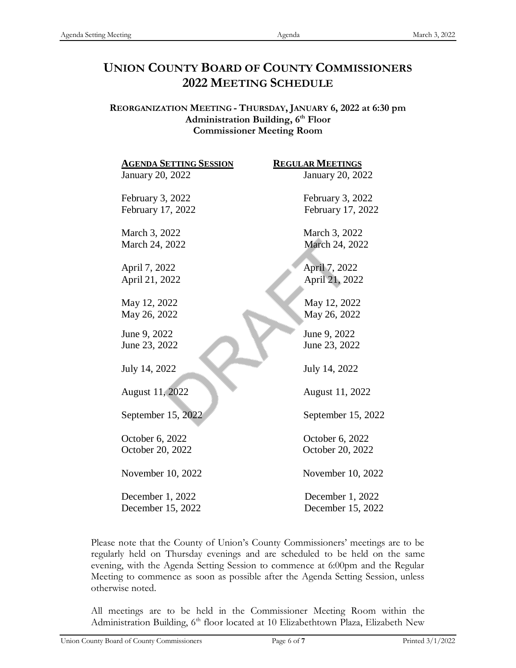# **UNION COUNTY BOARD OF COUNTY COMMISSIONERS 2022 MEETING SCHEDULE**

**REORGANIZATION MEETING - THURSDAY, JANUARY 6, 2022 at 6:30 pm Administration Building, 6th Floor Commissioner Meeting Room**

| <b>AGENDA SETTING SESSION</b> | <b>REGULAR MEETINGS</b> |
|-------------------------------|-------------------------|
| January 20, 2022              | January 20, 2022        |
| February 3, 2022              | February 3, 2022        |
| February 17, 2022             | February 17, 2022       |
| March 3, 2022                 | March 3, 2022           |
| March 24, 2022                | March 24, 2022          |
| April 7, 2022                 | April 7, 2022           |
| April 21, 2022                | April 21, 2022          |
| May 12, 2022                  | May 12, 2022            |
| May 26, 2022                  | May 26, 2022            |
| June 9, 2022                  | June 9, 2022            |
| June 23, 2022                 | June 23, 2022           |
| July 14, 2022                 | July 14, 2022           |
| August 11, 2022               | August 11, 2022         |
| September 15, 2022            | September 15, 2022      |
| October 6, 2022               | October 6, 2022         |
| October 20, 2022              | October 20, 2022        |
| November 10, 2022             | November 10, 2022       |
| December 1, 2022              | December 1, 2022        |
| December 15, 2022             | December 15, 2022       |

Please note that the County of Union's County Commissioners' meetings are to be regularly held on Thursday evenings and are scheduled to be held on the same evening, with the Agenda Setting Session to commence at 6:00pm and the Regular Meeting to commence as soon as possible after the Agenda Setting Session, unless otherwise noted.

All meetings are to be held in the Commissioner Meeting Room within the Administration Building, 6<sup>th</sup> floor located at 10 Elizabethtown Plaza, Elizabeth New